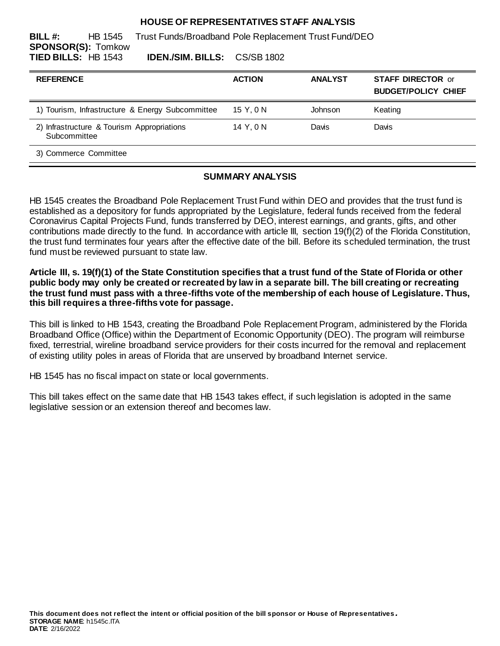## **HOUSE OF REPRESENTATIVES STAFF ANALYSIS**

**BILL #:** HB 1545 Trust Funds/Broadband Pole Replacement Trust Fund/DEO **SPONSOR(S):** Tomkow **TIED BILLS:** HB 1543 **IDEN./SIM. BILLS:** CS/SB 1802

| <b>REFERENCE</b>                                           | <b>ACTION</b> | <b>ANALYST</b> | <b>STAFF DIRECTOR or</b><br><b>BUDGET/POLICY CHIEF</b> |
|------------------------------------------------------------|---------------|----------------|--------------------------------------------------------|
| 1) Tourism, Infrastructure & Energy Subcommittee           | 15 Y, 0 N     | Johnson        | Keating                                                |
| 2) Infrastructure & Tourism Appropriations<br>Subcommittee | 14 Y, 0 N     | Davis          | Davis                                                  |
| 3) Commerce Committee                                      |               |                |                                                        |

# **SUMMARY ANALYSIS**

HB 1545 creates the Broadband Pole Replacement Trust Fund within DEO and provides that the trust fund is established as a depository for funds appropriated by the Legislature, federal funds received from the federal Coronavirus Capital Projects Fund, funds transferred by DEO, interest earnings, and grants, gifts, and other contributions made directly to the fund. In accordance with article III, section 19(f)(2) of the Florida Constitution, the trust fund terminates four years after the effective date of the bill. Before its scheduled termination, the trust fund must be reviewed pursuant to state law.

**Article III, s. 19(f)(1) of the State Constitution specifies that a trust fund of the State of Florida or other public body may only be created or recreated by law in a separate bill. The bill creating or recreating the trust fund must pass with a three-fifths vote of the membership of each house of Legislature. Thus, this bill requires a three-fifths vote for passage.**

This bill is linked to HB 1543, creating the Broadband Pole Replacement Program, administered by the Florida Broadband Office (Office) within the Department of Economic Opportunity (DEO). The program will reimburse fixed, terrestrial, wireline broadband service providers for their costs incurred for the removal and replacement of existing utility poles in areas of Florida that are unserved by broadband Internet service.

HB 1545 has no fiscal impact on state or local governments.

This bill takes effect on the same date that HB 1543 takes effect, if such legislation is adopted in the same legislative session or an extension thereof and becomes law.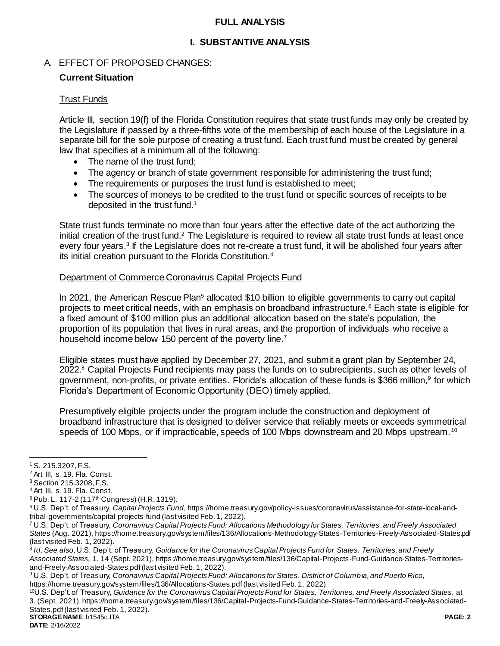# **FULL ANALYSIS**

# **I. SUBSTANTIVE ANALYSIS**

# A. EFFECT OF PROPOSED CHANGES:

# **Current Situation**

# Trust Funds

Article III, section 19(f) of the Florida Constitution requires that state trust funds may only be created by the Legislature if passed by a three-fifths vote of the membership of each house of the Legislature in a separate bill for the sole purpose of creating a trust fund. Each trust fund must be created by general law that specifies at a minimum all of the following:

- The name of the trust fund:
- The agency or branch of state government responsible for administering the trust fund;
- The requirements or purposes the trust fund is established to meet;
- The sources of moneys to be credited to the trust fund or specific sources of receipts to be deposited in the trust fund.<sup>1</sup>

State trust funds terminate no more than four years after the effective date of the act authorizing the initial creation of the trust fund.<sup>2</sup> The Legislature is required to review all state trust funds at least once every four years.<sup>3</sup> If the Legislature does not re-create a trust fund, it will be abolished four years after its initial creation pursuant to the Florida Constitution.<sup>4</sup>

### Department of Commerce Coronavirus Capital Projects Fund

In 2021, the American Rescue Plan<sup>5</sup> allocated \$10 billion to eligible governments to carry out capital projects to meet critical needs, with an emphasis on broadband infrastructure.<sup>6</sup> Each state is eligible for a fixed amount of \$100 million plus an additional allocation based on the state's population, the proportion of its population that lives in rural areas, and the proportion of individuals who receive a household income below 150 percent of the poverty line.<sup>7</sup>

Eligible states must have applied by December 27, 2021, and submit a grant plan by September 24, 2022.<sup>8</sup> Capital Projects Fund recipients may pass the funds on to subrecipients, such as other levels of government, non-profits, or private entities. Florida's allocation of these funds is \$366 million,<sup>9</sup> for which Florida's Department of Economic Opportunity (DEO) timely applied.

Presumptively eligible projects under the program include the construction and deployment of broadband infrastructure that is designed to deliver service that reliably meets or exceeds symmetrical speeds of 100 Mbps, or if impracticable, speeds of 100 Mbps downstream and 20 Mbps upstream.<sup>10</sup>

 $\overline{a}$ 

<https://home.treasury.gov/system/files/136/Allocations-States.pdf>(last visited Feb. 1, 2022)

**STORAGE NAME**: h1545c.ITA **PAGE: 2** <sup>10</sup>U.S. Dep't. of Treasury, *Guidance for the Coronavirus Capital Projects Fund for States, Territories, and Freely Associated States,* at 3. (Sept. 2021)[, https://home.treasury.gov/system/files/136/Capital-Projects-Fund-Guidance-States-Territories-and-Freely-Associated-](https://home.treasury.gov/system/files/136/Capital-Projects-Fund-Guidance-States-Territories-and-Freely-Associated-States.pdf)[States.pdf\(](https://home.treasury.gov/system/files/136/Capital-Projects-Fund-Guidance-States-Territories-and-Freely-Associated-States.pdf)last visited Feb. 1, 2022).

**DATE**: 2/16/2022

<sup>1</sup> S. 215.3207, F.S.

<sup>2</sup> Art III, s. 19. Fla. Const.

<sup>3</sup> Section 215.3208, F.S.

<sup>4</sup> Art III, s. 19. Fla. Const.

<sup>&</sup>lt;sup>5</sup> Pub. L. 117-2 (117<sup>th</sup> Congress) (H.R. 1319).

<sup>6</sup> U.S. Dep't. of Treasury, *Capital Projects Fund*[, https://home.treasury.gov/policy-issues/coronavirus/assistance-for-state-local-and](https://home.treasury.gov/policy-issues/coronavirus/assistance-for-state-local-and-tribal-governments/capital-projects-fund)[tribal-governments/capital-projects-fund](https://home.treasury.gov/policy-issues/coronavirus/assistance-for-state-local-and-tribal-governments/capital-projects-fund) (last visited Feb. 1, 2022).

<sup>7</sup> U.S. Dep't. of Treasury*, Coronavirus Capital Projects Fund: Allocations Methodology for States, Territories, and Freely Associated States* (Aug. 2021)[, https://home.treasury.gov/system/files/136/Allocations-Methodology-States-Territories-Freely-Associated-States.pdf](https://home.treasury.gov/system/files/136/Allocations-Methodology-States-Territories-Freely-Associated-States.pdf) (last visited Feb. 1, 2022).

<sup>8</sup> *Id*. *See also*, U.S. Dep't. of Treasury, *Guidance for the Coronavirus Capital Projects Fund for States, Territories, and Freely Associated States,* 1, 14 (Sept. 2021)[, https://home.treasury.gov/system/files/136/Capital-Projects-Fund-Guidance-States-Territories](https://home.treasury.gov/system/files/136/Capital-Projects-Fund-Guidance-States-Territories-and-Freely-Associated-States.pdf)[and-Freely-Associated-States.pdf](https://home.treasury.gov/system/files/136/Capital-Projects-Fund-Guidance-States-Territories-and-Freely-Associated-States.pdf)(last visited Feb. 1, 2022).

<sup>9</sup> U.S. Dep't. of Treasury*, Coronavirus Capital Projects Fund: Allocations for States, District of Columbia, and Puerto Rico,*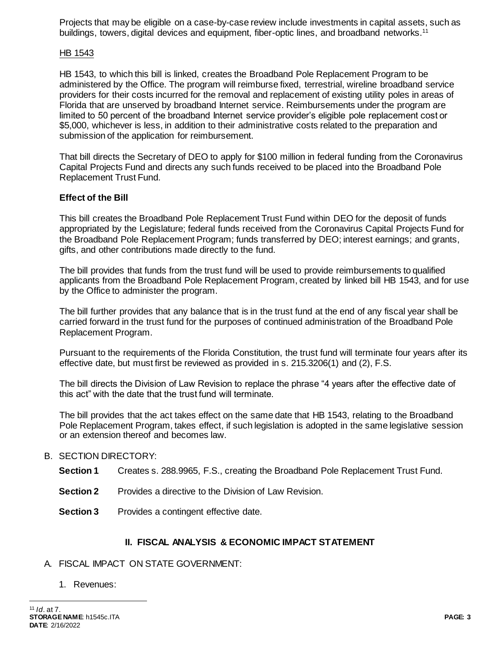Projects that may be eligible on a case-by-case review include investments in capital assets, such as buildings, towers, digital devices and equipment, fiber-optic lines, and broadband networks.<sup>11</sup>

## HB 1543

HB 1543, to which this bill is linked, creates the Broadband Pole Replacement Program to be administered by the Office. The program will reimburse fixed, terrestrial, wireline broadband service providers for their costs incurred for the removal and replacement of existing utility poles in areas of Florida that are unserved by broadband Internet service. Reimbursements under the program are limited to 50 percent of the broadband Internet service provider's eligible pole replacement cost or \$5,000, whichever is less, in addition to their administrative costs related to the preparation and submission of the application for reimbursement.

That bill directs the Secretary of DEO to apply for \$100 million in federal funding from the Coronavirus Capital Projects Fund and directs any such funds received to be placed into the Broadband Pole Replacement Trust Fund.

# **Effect of the Bill**

This bill creates the Broadband Pole Replacement Trust Fund within DEO for the deposit of funds appropriated by the Legislature; federal funds received from the Coronavirus Capital Projects Fund for the Broadband Pole Replacement Program; funds transferred by DEO; interest earnings; and grants, gifts, and other contributions made directly to the fund.

The bill provides that funds from the trust fund will be used to provide reimbursements to qualified applicants from the Broadband Pole Replacement Program, created by linked bill HB 1543, and for use by the Office to administer the program.

The bill further provides that any balance that is in the trust fund at the end of any fiscal year shall be carried forward in the trust fund for the purposes of continued administration of the Broadband Pole Replacement Program.

Pursuant to the requirements of the Florida Constitution, the trust fund will terminate four years after its effective date, but must first be reviewed as provided in s. 215.3206(1) and (2), F.S.

The bill directs the Division of Law Revision to replace the phrase "4 years after the effective date of this act" with the date that the trust fund will terminate.

The bill provides that the act takes effect on the same date that HB 1543, relating to the Broadband Pole Replacement Program, takes effect, if such legislation is adopted in the same legislative session or an extension thereof and becomes law.

#### B. SECTION DIRECTORY:

- **Section 1** Creates s. 288.9965, F.S., creating the Broadband Pole Replacement Trust Fund.
- **Section 2** Provides a directive to the Division of Law Revision.
- **Section 3** Provides a contingent effective date.

#### **II. FISCAL ANALYSIS & ECONOMIC IMPACT STATEMENT**

#### A. FISCAL IMPACT ON STATE GOVERNMENT:

1. Revenues:

 $\overline{a}$